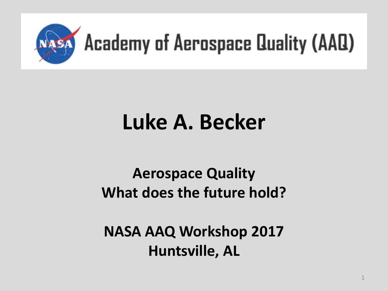

### **Luke A. Becker**

#### **Aerospace Quality What does the future hold?**

**NASA AAQ Workshop 2017 Huntsville, AL**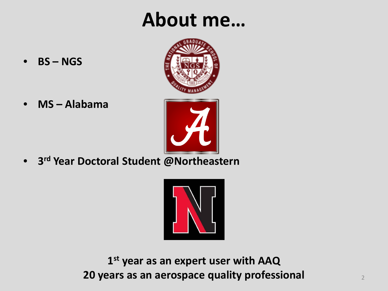#### **About me…**



• **BS – NGS**

• **MS – Alabama**

• **3rd Year Doctoral Student @Northeastern**



**1st year as an expert user with AAQ 20 years as an aerospace quality professional** <sup>2</sup>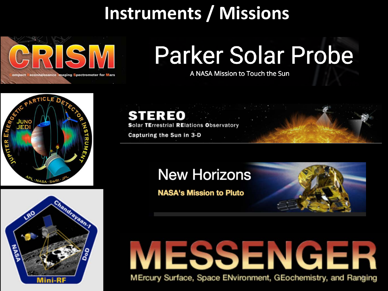#### **Instruments / Missions**



# **Parker Solar Probe**

A NASA Mission to Touch the Sun



**STEREO** 

**TErrestrial RElations Observatory** 

Capturing the Sun in 3-D

#### **New Horizons**

**NASA's Mission to Pluto** 



# ESSENGER

MErcury Surface, Space ENvironment, GEochemistry, and Ranging

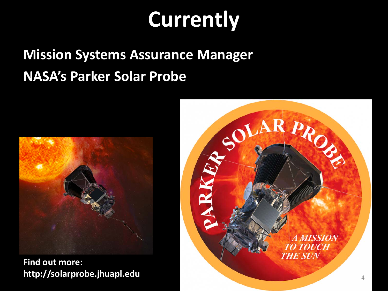### **Currently**

#### **Mission Systems Assurance Manager NASA's Parker Solar Probe**



**Find out more:**

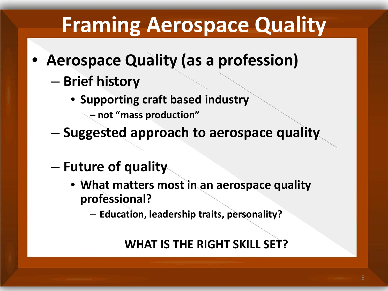### **Framing Aerospace Quality**

- **Aerospace Quality (as a profession)**
	- **Brief history**
		- **Supporting craft based industry** 
			- **– not "mass production"**
	- **Suggested approach to aerospace quality**
	- **Future of quality**
		- **What matters most in an aerospace quality professional?**
			- **Education, leadership traits, personality?**

#### **WHAT IS THE RIGHT SKILL SET?**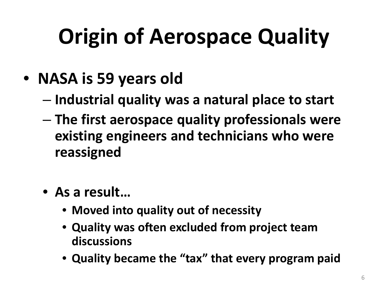# **Origin of Aerospace Quality**

- **NASA is 59 years old**
	- **Industrial quality was a natural place to start**
	- **The first aerospace quality professionals were existing engineers and technicians who were reassigned**
	- **As a result…**
		- **Moved into quality out of necessity**
		- **Quality was often excluded from project team discussions**
		- **Quality became the "tax" that every program paid**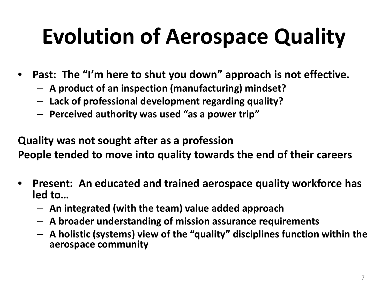# **Evolution of Aerospace Quality**

- **Past: The "I'm here to shut you down" approach is not effective.**
	- **A product of an inspection (manufacturing) mindset?**
	- **Lack of professional development regarding quality?**
	- **Perceived authority was used "as a power trip"**

**Quality was not sought after as a profession People tended to move into quality towards the end of their careers**

- **Present: An educated and trained aerospace quality workforce has led to…**
	- **An integrated (with the team) value added approach**
	- **A broader understanding of mission assurance requirements**
	- **A holistic (systems) view of the "quality" disciplines function within the aerospace community**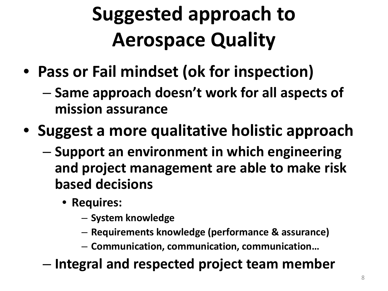### **Suggested approach to Aerospace Quality**

- **Pass or Fail mindset (ok for inspection)**
	- **Same approach doesn't work for all aspects of mission assurance**
- **Suggest a more qualitative holistic approach**
	- **Support an environment in which engineering and project management are able to make risk based decisions**
		- **Requires:**
			- **System knowledge**
			- **Requirements knowledge (performance & assurance)**
			- **Communication, communication, communication…**
	- **Integral and respected project team member**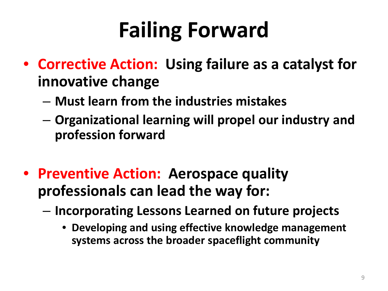# **Failing Forward**

- **Corrective Action: Using failure as a catalyst for innovative change**
	- **Must learn from the industries mistakes**
	- **Organizational learning will propel our industry and profession forward**
- **Preventive Action: Aerospace quality professionals can lead the way for:**
	- **Incorporating Lessons Learned on future projects**
		- **Developing and using effective knowledge management systems across the broader spaceflight community**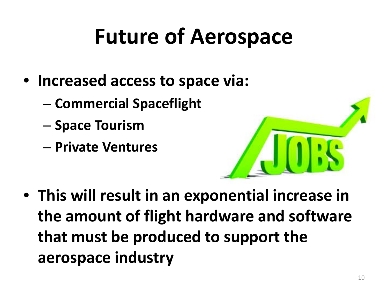### **Future of Aerospace**

- **Increased access to space via:**
	- **Commercial Spaceflight**
	- **Space Tourism**
	- **Private Ventures**

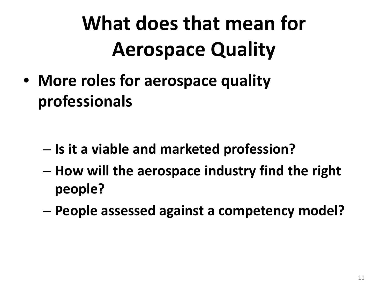### **What does that mean for Aerospace Quality**

• **More roles for aerospace quality professionals**

- **Is it a viable and marketed profession?**
- **How will the aerospace industry find the right people?**
- **People assessed against a competency model?**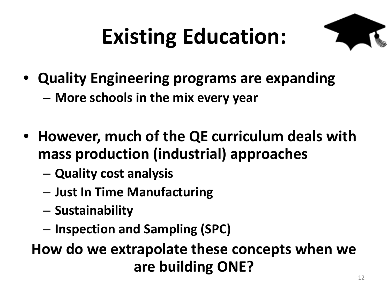# **Existing Education:**



- **Quality Engineering programs are expanding** – **More schools in the mix every year**
- **However, much of the QE curriculum deals with mass production (industrial) approaches**
	- **Quality cost analysis**
	- **Just In Time Manufacturing**
	- **Sustainability**
	- **Inspection and Sampling (SPC)**

**How do we extrapolate these concepts when we are building ONE?**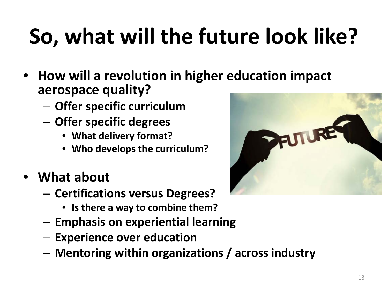# **So, what will the future look like?**

- **How will a revolution in higher education impact aerospace quality?**
	- **Offer specific curriculum**
	- **Offer specific degrees**
		- **What delivery format?**
		- **Who develops the curriculum?**
- **What about**
	- **Certifications versus Degrees?**
		- **Is there a way to combine them?**
	- **Emphasis on experiential learning**
	- **Experience over education**
	- **Mentoring within organizations / across industry**

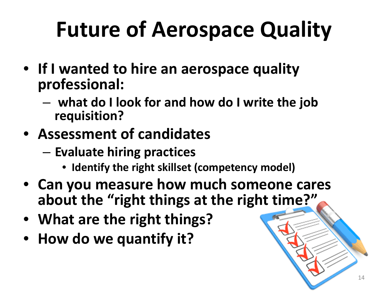# **Future of Aerospace Quality**

- **If I wanted to hire an aerospace quality professional:**
	- **what do I look for and how do I write the job requisition?**
- **Assessment of candidates**
	- **Evaluate hiring practices**
		- **Identify the right skillset (competency model)**
- **Can you measure how much someone cares about the "right things at the right time?"**
- **What are the right things?**
- **How do we quantify it?**